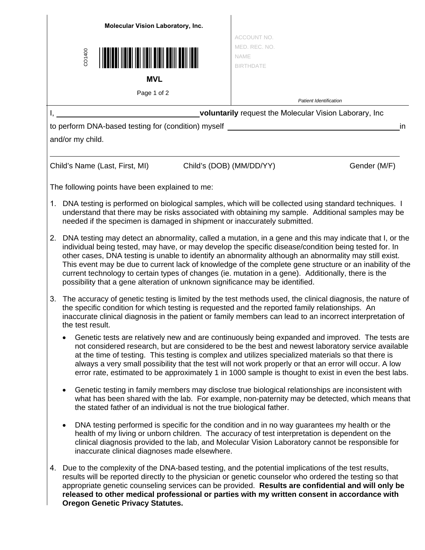|    | Molecular Vision Laboratory, Inc.                                                                                                                                                                                                                                                                                                                                                                                                                                                                                                                                                                                               | ACCOUNT NO.                                                   |              |
|----|---------------------------------------------------------------------------------------------------------------------------------------------------------------------------------------------------------------------------------------------------------------------------------------------------------------------------------------------------------------------------------------------------------------------------------------------------------------------------------------------------------------------------------------------------------------------------------------------------------------------------------|---------------------------------------------------------------|--------------|
|    | CO1400                                                                                                                                                                                                                                                                                                                                                                                                                                                                                                                                                                                                                          | MED. REC. NO.<br><b>NAME</b><br><b>BIRTHDATE</b>              |              |
|    | <b>MVL</b>                                                                                                                                                                                                                                                                                                                                                                                                                                                                                                                                                                                                                      |                                                               |              |
|    | Page 1 of 2                                                                                                                                                                                                                                                                                                                                                                                                                                                                                                                                                                                                                     | <b>Patient Identification</b>                                 |              |
|    |                                                                                                                                                                                                                                                                                                                                                                                                                                                                                                                                                                                                                                 | <b>voluntarily</b> request the Molecular Vision Laborary, Inc |              |
|    |                                                                                                                                                                                                                                                                                                                                                                                                                                                                                                                                                                                                                                 |                                                               | in           |
|    | and/or my child.                                                                                                                                                                                                                                                                                                                                                                                                                                                                                                                                                                                                                |                                                               |              |
|    |                                                                                                                                                                                                                                                                                                                                                                                                                                                                                                                                                                                                                                 |                                                               |              |
|    | Child's (DOB) (MM/DD/YY)<br>Child's Name (Last, First, MI)                                                                                                                                                                                                                                                                                                                                                                                                                                                                                                                                                                      |                                                               | Gender (M/F) |
|    | The following points have been explained to me:                                                                                                                                                                                                                                                                                                                                                                                                                                                                                                                                                                                 |                                                               |              |
| 1. | DNA testing is performed on biological samples, which will be collected using standard techniques. I<br>understand that there may be risks associated with obtaining my sample. Additional samples may be<br>needed if the specimen is damaged in shipment or inaccurately submitted.                                                                                                                                                                                                                                                                                                                                           |                                                               |              |
| 2. | DNA testing may detect an abnormality, called a mutation, in a gene and this may indicate that I, or the<br>individual being tested, may have, or may develop the specific disease/condition being tested for. In<br>other cases, DNA testing is unable to identify an abnormality although an abnormality may still exist.<br>This event may be due to current lack of knowledge of the complete gene structure or an inability of the<br>current technology to certain types of changes (ie. mutation in a gene). Additionally, there is the<br>possibility that a gene alteration of unknown significance may be identified. |                                                               |              |
| 3. | The accuracy of genetic testing is limited by the test methods used, the clinical diagnosis, the nature of<br>the specific condition for which testing is requested and the reported family relationships. An<br>inaccurate clinical diagnosis in the patient or family members can lead to an incorrect interpretation of<br>the test result.                                                                                                                                                                                                                                                                                  |                                                               |              |
|    | Genetic tests are relatively new and are continuously being expanded and improved. The tests are<br>not considered research, but are considered to be the best and newest laboratory service available<br>at the time of testing. This testing is complex and utilizes specialized materials so that there is<br>always a very small possibility that the test will not work properly or that an error will occur. A low<br>error rate, estimated to be approximately 1 in 1000 sample is thought to exist in even the best labs.                                                                                               |                                                               |              |
|    | Genetic testing in family members may disclose true biological relationships are inconsistent with<br>٠<br>what has been shared with the lab. For example, non-paternity may be detected, which means that<br>the stated father of an individual is not the true biological father.                                                                                                                                                                                                                                                                                                                                             |                                                               |              |
|    | DNA testing performed is specific for the condition and in no way guarantees my health or the<br>$\bullet$<br>health of my living or unborn children. The accuracy of test interpretation is dependent on the<br>clinical diagnosis provided to the lab, and Molecular Vision Laboratory cannot be responsible for<br>inaccurate clinical diagnoses made elsewhere.                                                                                                                                                                                                                                                             |                                                               |              |
| 4. | Due to the complexity of the DNA-based testing, and the potential implications of the test results,<br>results will be reported directly to the physician or genetic counselor who ordered the testing so that<br>appropriate genetic counseling services can be provided. Results are confidential and will only be<br>released to other medical professional or parties with my written consent in accordance with<br><b>Oregon Genetic Privacy Statutes.</b>                                                                                                                                                                 |                                                               |              |